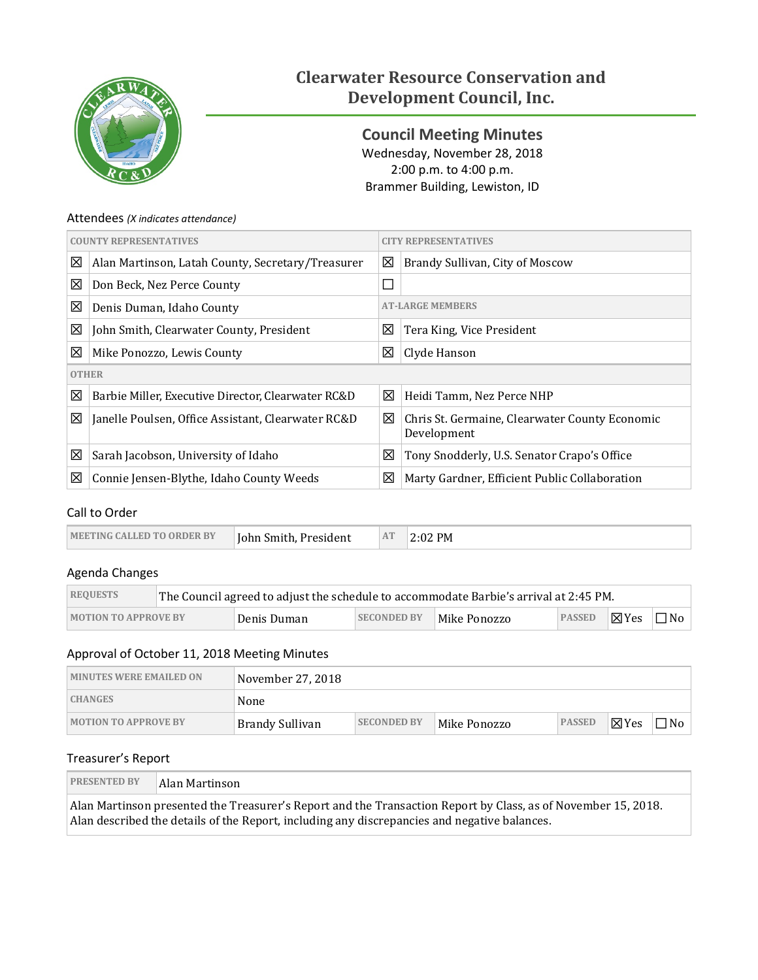

# **Clearwater Resource Conservation and Development Council, Inc.**

<span id="page-0-0"></span>**Council Meeting Minutes** Wednesday, November 28, 2018 2:00 p.m. to 4:00 p.m. Brammer Building, Lewiston, ID

## Attendees *(X indicates attendance)*

| <b>COUNTY REPRESENTATIVES</b> |                                                      | <b>REPRESENTATIVES</b>               |                                                               |  |
|-------------------------------|------------------------------------------------------|--------------------------------------|---------------------------------------------------------------|--|
| 図                             | Alan Martinson, Latah County, Secretary/Treasurer    | 図<br>Brandy Sullivan, City of Moscow |                                                               |  |
| 図                             | Don Beck, Nez Perce County                           | $\Box$                               |                                                               |  |
| 図                             | <b>AT-LARGE MEMBERS</b><br>Denis Duman, Idaho County |                                      |                                                               |  |
| ⊠                             | John Smith, Clearwater County, President             | ⊠                                    | Tera King, Vice President                                     |  |
| 図                             | Mike Ponozzo, Lewis County                           | 区                                    | Clyde Hanson                                                  |  |
| <b>OTHER</b>                  |                                                      |                                      |                                                               |  |
| 図                             | Barbie Miller, Executive Director, Clearwater RC&D   | 区                                    | Heidi Tamm, Nez Perce NHP                                     |  |
| 図                             | Janelle Poulsen, Office Assistant, Clearwater RC&D   | 図                                    | Chris St. Germaine, Clearwater County Economic<br>Development |  |
| 図                             | Sarah Jacobson, University of Idaho                  | 区                                    | Tony Snodderly, U.S. Senator Crapo's Office                   |  |
| 図                             | Connie Jensen-Blythe, Idaho County Weeds             | 区                                    | Marty Gardner, Efficient Public Collaboration                 |  |

# Call to Order

| <b>IMEETING CALLED TO ORDER BY</b> | Iohn Smith. President | AT | 2:02 PM |
|------------------------------------|-----------------------|----|---------|
|------------------------------------|-----------------------|----|---------|

# Agenda Changes

| <b>REQUESTS</b>             | The Council agreed to adjust the schedule to accommodate Barbie's arrival at 2:45 PM. |             |                    |              |                     |  |           |
|-----------------------------|---------------------------------------------------------------------------------------|-------------|--------------------|--------------|---------------------|--|-----------|
| <b>MOTION TO APPROVE BY</b> |                                                                                       | Denis Duman | <b>SECONDED BY</b> | Mike Ponozzo | PASSED <b>X</b> Yes |  | $\Box$ No |

# Approval of October 11, 2018 Meeting Minutes

| <b>MINUTES WERE EMAILED ON</b> | November 27, 2018 |                    |              |               |                 |           |
|--------------------------------|-------------------|--------------------|--------------|---------------|-----------------|-----------|
| <b>CHANGES</b>                 | None              |                    |              |               |                 |           |
| <b>MOTION TO APPROVE BY</b>    | Brandy Sullivan   | <b>SECONDED BY</b> | Mike Ponozzo | <b>PASSED</b> | $\boxtimes$ Yes | $\Box$ No |

## Treasurer's Report

| <b>PRESENTED BY</b> | Alan Martinson                                                                                                                                                                                                |
|---------------------|---------------------------------------------------------------------------------------------------------------------------------------------------------------------------------------------------------------|
|                     | Alan Martinson presented the Treasurer's Report and the Transaction Report by Class, as of November 15, 2018.<br>Alan described the details of the Report, including any discrepancies and negative balances. |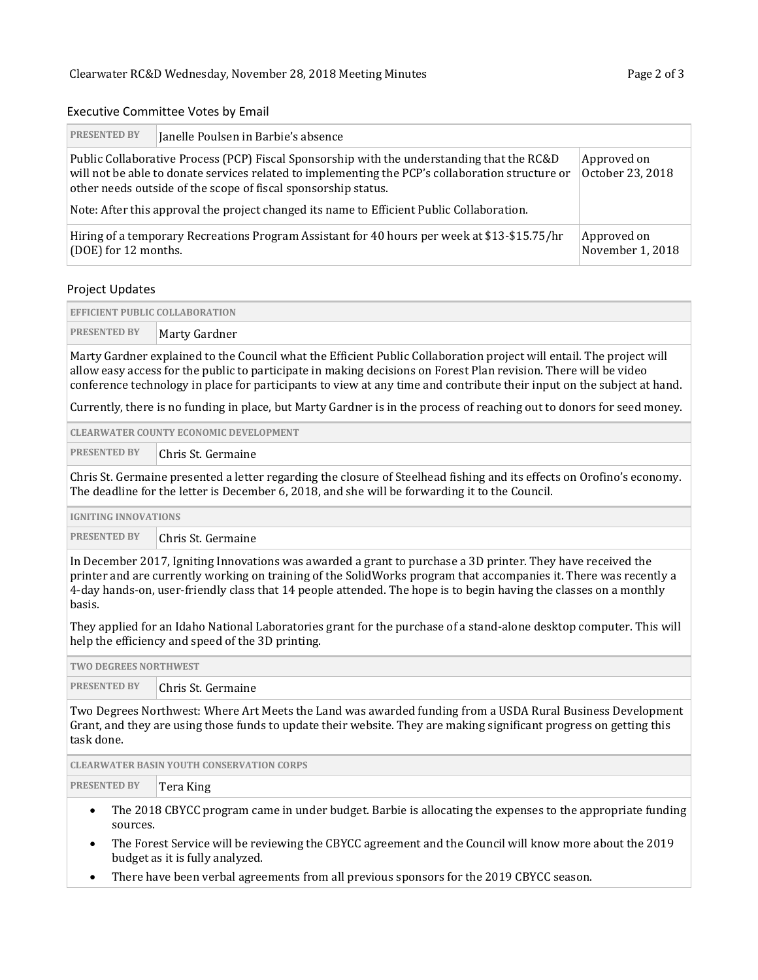#### Executive Committee Votes by Email

| <b>PRESENTED BY</b>                                                                                                                                                                                                                                              | Janelle Poulsen in Barbie's absence |  |  |  |  |
|------------------------------------------------------------------------------------------------------------------------------------------------------------------------------------------------------------------------------------------------------------------|-------------------------------------|--|--|--|--|
| Public Collaborative Process (PCP) Fiscal Sponsorship with the understanding that the RC&D<br>will not be able to donate services related to implementing the PCP's collaboration structure or<br>other needs outside of the scope of fiscal sponsorship status. | Approved on<br>October 23, 2018     |  |  |  |  |
| Note: After this approval the project changed its name to Efficient Public Collaboration.                                                                                                                                                                        |                                     |  |  |  |  |
| Hiring of a temporary Recreations Program Assistant for 40 hours per week at \$13-\$15.75/hr<br>(DOE) for 12 months.                                                                                                                                             | Approved on<br>November 1, 2018     |  |  |  |  |

#### Project Updates

| <b>EFFICIENT PUBLIC COLLABORATION</b> |               |  |
|---------------------------------------|---------------|--|
| <b>PRESENTED BY</b>                   | Marty Gardner |  |

Marty Gardner explained to the Council what the Efficient Public Collaboration project will entail. The project will allow easy access for the public to participate in making decisions on Forest Plan revision. There will be video conference technology in place for participants to view at any time and contribute their input on the subject at hand.

Currently, there is no funding in place, but Marty Gardner is in the process of reaching out to donors for seed money.

| <b>CLEARWATER COUNTY ECONOMIC DEVELOPMENT</b> |                    |  |  |
|-----------------------------------------------|--------------------|--|--|
| <b>PRESENTED BY</b>                           | Chris St. Germaine |  |  |

Chris St. Germaine presented a letter regarding the closure of Steelhead fishing and its effects on Orofino's economy. The deadline for the letter is December 6, 2018, and she will be forwarding it to the Council.

| <b>IGNITING INNOVATIONS</b> |                    |  |
|-----------------------------|--------------------|--|
| <b>PRESENTED BY</b>         | Chris St. Germaine |  |

In December 2017, Igniting Innovations was awarded a grant to purchase a 3D printer. They have received the printer and are currently working on training of the SolidWorks program that accompanies it. There was recently a 4-day hands-on, user-friendly class that 14 people attended. The hope is to begin having the classes on a monthly basis.

They applied for an Idaho National Laboratories grant for the purchase of a stand-alone desktop computer. This will help the efficiency and speed of the 3D printing.

| TWO DEGREES NORTHWEST |                    |  |  |
|-----------------------|--------------------|--|--|
| <b>PRESENTED BY</b>   | Chris St. Germaine |  |  |
|                       |                    |  |  |

Two Degrees Northwest: Where Art Meets the Land was awarded funding from a USDA Rural Business Development Grant, and they are using those funds to update their website. They are making significant progress on getting this task done.

|                                                                                                           | <b>CLEARWATER BASIN YOUTH CONSERVATION CORPS</b> |  |  |  |  |
|-----------------------------------------------------------------------------------------------------------|--------------------------------------------------|--|--|--|--|
| <b>PRESENTED BY</b>                                                                                       | Tera King                                        |  |  |  |  |
| The 2018 CRVCC program came in under budget. Barbie is allocating the expenses to the appropriate funding |                                                  |  |  |  |  |

- The 2018 CBYCC program came in under budget. Barbie is allocating the expenses to the appropriate funding sources.
- The Forest Service will be reviewing the CBYCC agreement and the Council will know more about the 2019 budget as it is fully analyzed.
- There have been verbal agreements from all previous sponsors for the 2019 CBYCC season.